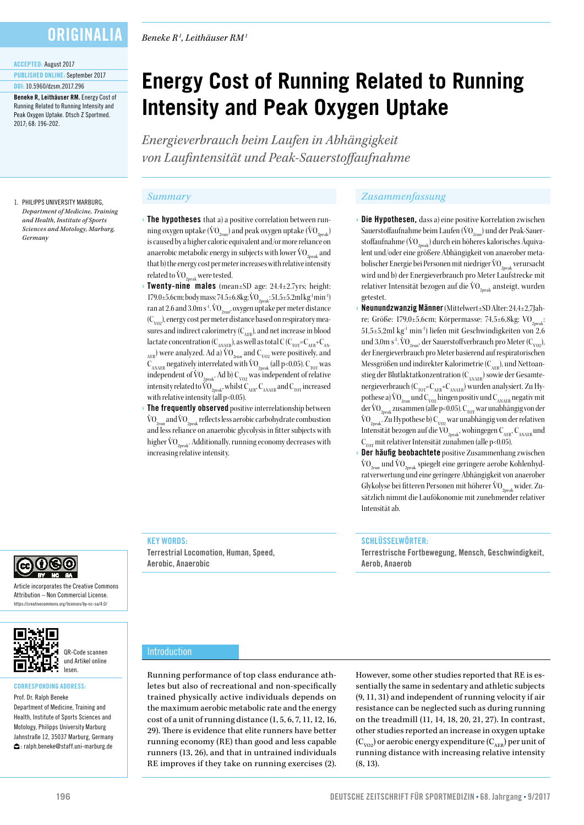## **ORIGINALIA**

#### ACCEPTED: August 2017

PUBLISHED ONLINE: September 2017 DOI: 10.5960/dzsm.2017.296

Beneke R, Leithäuser RM. Energy Cost of Running Related to Running Intensity and Peak Oxygen Uptake. Dtsch Z Sportmed. 2017; 68: 196-202.

#### 1. PHILIPPS UNIVERSITY MARBURG, *Department of Medicine, Training and Health, Institute of Sports Sciences and Motology, Marburg, Germany*

*Beneke R1 , Leithäuser RM1*

# **Energy Cost of Running Related to Running Intensity and Peak Oxygen Uptake**

*Energieverbrauch beim Laufen in Abhängigkeit von Laufintensität und Peak-Sauerstoffaufnahme*

- The hypotheses that a) a positive correlation between running oxygen uptake ( $\rm \dot{VO}_{2neak}$ ) and peak oxygen uptake ( $\rm \dot{VO}_{2neak}$ ) is caused by a higher caloric equivalent and/or more reliance on anaerobic metabolic energy in subjects with lower  $\rm{VO}_{2n}$  and that b) the energy cost per meter increases with relative intensity related to  $\rm \dot{V0}_{2neak}$  were tested.
- **Twenty-nine males** (mean $\pm$ SD age: 24.4 $\pm$ 2.7yrs; height: 179.0±5.6cm; body mass: 74.5±6.8kg; VO<sub>2peak</sub>: 51.5±5.2ml kg<sup>-1</sup> min<sup>-1</sup>) ran at 2.6 and 3.0m s<sup>-1</sup>.  $\rm{VO}_{2rm}$ , oxygen uptake per meter distance  $(C_{\text{VOD}})$ , energy cost per meter distance based on respiratory measures and indirect calorimetry  $(C_{AER})$ , and net increase in blood lactate concentration ( $C_{ANAFR}$ ), as well as total C ( $C_{TOT} = C_{AFR} + C_{AN-}$  $_{AEB}$ ) were analyzed. Ad a)  $\overline{VO}_{2run}$  and  $C_{\overline{VO2}}$  were positively, and  $C_{ANAFR}$  negatively interrelated with  $VO_{2peak}$  (all p<0.05).  $C_{TOT}$  was independent of  $VO_{2peak}$ . Ad b)  $C_{\nu_{O2}}$  was independent of relative intensity related to  $\widehat{\text{VO}}_{2\text{peak}}$ , whilst  $\text{C}_{\text{AFAER}}$ ,  $\text{C}_{\text{ANAER}}$  and  $\text{C}_{\text{TOT}}$  increased with relative intensity (all  $p<0.05$ ).
- The frequently observed positive interrelationship between  $\rm{VO}_{2\rm{run}}$  and  $\rm{VO}_{2\rm{peak}}$  reflects less aerobic carbohydrate combustion and less reliance on anaerobic glycolysis in fitter subjects with higher  $\rm{VO}_{2n\text{e}ab}$ . Additionally, running economy decreases with increasing relative intensity.

## *Summary Zusammenfassung*

- Die Hypothesen, dass a) eine positive Korrelation zwischen Sauerstoffaufnahme beim Laufen ( $\rm VO_{2rm}$ ) und der Peak-Sauerstoffaufnahme ( $\rm \dot{VO}_{2neab}$ ) durch ein höheres kalorisches Äquivalent und/oder eine größere Abhängigkeit von anaerober metabolischer Energie bei Personen mit niedriger  $\rm \ddot{VO}_{20eak}$  verursacht wird und b) der Energieverbrauch pro Meter Laufstrecke mit relativer Intensität bezogen auf die  $\rm \dot{VO}_{2n e 4k}$  ansteigt, wurden getestet.
- › Neunundzwanzig Männer (Mittelwert±SD Alter: 24,4±2,7Jahre; Größe: 179,0±5,6cm; Körpermasse: 74,5±6,8kg; VO<sub>2peak</sub>: 51,5±5,2ml kg-1 min-1) liefen mit Geschwindigkeiten von 2,6 und 3,0m s<sup>-1</sup>. VO<sub>2run</sub>, der Sauerstoffverbrauch pro Meter (C<sub>vo2</sub>), der Energieverbrauch pro Meter basierend auf respiratorischen Messgrößen und indirekter Kalorimetrie ( $C_{AFR}$ ), und Nettoanstieg der Blutlaktatkonzentration  $(C_{_{\rm{ANAER}}})$  sowie der Gesamtenergieverbrauch ( $C_{\text{TOT}}=C_{\text{AFR}}+C_{\text{ANAFR}}$ ) wurden analysiert. Zu Hypothese a)  $\rm{VO}_{2\rm{run}}$  und  $\rm{C}_{\rm{VO2}}$  hingen positiv und  $\rm{C}_{\rm{ANAER}}$  negativ mit der VO<sub>2peak</sub> zusammen (alle p<0.05). C<sub>TOT</sub> war unabhängig von der  $\rm{VO}_{2\rm{peak}}$ . Zu Hypothese b)  $\rm{C}_{\rm{VO2}}$  war unabhängig von der relativen Intensität bezogen auf die VO<sub>2peak</sub>, wohingegen C<sub>AER</sub>, C<sub>ANAER</sub> und  $C_{\text{tor}}$  mit relativer Intensität zunahmen (alle p<0.05).
- Der häufig beobachtete positive Zusammenhang zwischen  $\rm{VO}_{2_{run}}$  und  $\rm{VO}_{2_{neak}}$  spiegelt eine geringere aerobe Kohlenhydratverwertung und eine geringere Abhängigkeit von anaerober Glykolyse bei fitteren Personen mit höherer  $\rm \dot{VO}_{2002}$  wider. Zusätzlich nimmt die Laufökonomie mit zunehmender relativer Intensität ab.

Terrestrische Fortbewegung, Mensch, Geschwindigkeit,



Article incorporates the Creative Commons Attribution – Non Commercial License. https://creativecommons.org/licenses/by-nc-sa/4.0/



## CORRESPONDING ADDRESS:

Prof. Dr. Ralph Beneke Department of Medicine, Training and Health, Institute of Sports Sciences and Motology, Philipps University Marburg Jahnstraße 12, 35037 Marburg, Germany : ralph.beneke@staff.uni-marburg.de

Introduction

KEY WORDS:

Aerobic, Anaerobic

Terrestrial Locomotion, Human, Speed,

Running performance of top class endurance athletes but also of recreational and non-specifically trained physically active individuals depends on the maximum aerobic metabolic rate and the energy cost of a unit of running distance (1, 5, 6, 7, 11, 12, 16, 29). There is evidence that elite runners have better running economy (RE) than good and less capable runners (13, 26), and that in untrained individuals RE improves if they take on running exercises (2).

However, some other studies reported that RE is essentially the same in sedentary and athletic subjects (9, 11, 31) and independent of running velocity if air resistance can be neglected such as during running on the treadmill (11, 14, 18, 20, 21, 27). In contrast, other studies reported an increase in oxygen uptake  $(C_{\text{vo2}})$  or aerobic energy expenditure  $(C_{\text{AER}})$  per unit of running distance with increasing relative intensity (8, 13).

SCHLÜSSELWÖRTER:

Aerob, Anaerob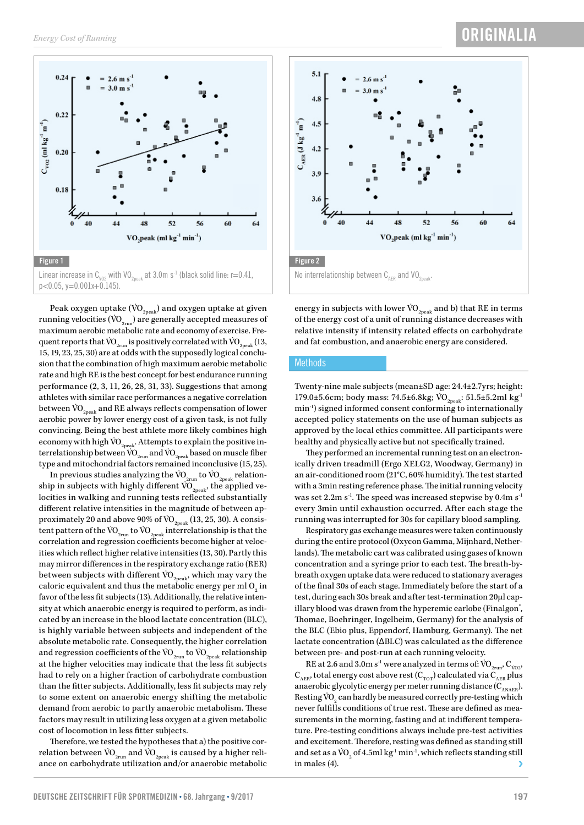

Peak oxygen uptake ( $\rm \ddot{VO}_{2\rm peak}$ ) and oxygen uptake at given running velocities ( $\rm\dot{VO}_{2run}$ ) are generally accepted measures of maximum aerobic metabolic rate and economy of exercise. Frequent reports that VO<sub>2run</sub> is positively correlated with VO<sub>2neak</sub> (13, 15, 19, 23, 25, 30) are at odds with the supposedly logical conclusion that the combination of high maximum aerobic metabolic rate and high RE is the best concept for best endurance running performance (2, 3, 11, 26, 28, 31, 33). Suggestions that among athletes with similar race performances a negative correlation between  $\rm \ddot{VO}_{2peak}$  and RE always reflects compensation of lower aerobic power by lower energy cost of a given task, is not fully convincing. Being the best athlete more likely combines high economy with high  $\rm \dot{VO}_{2peak}.$  Attempts to explain the positive interrelationship between  $\rm \ddot{VO}_{2run}$  and  $\rm \ddot{VO}_{2peak}$  based on muscle fiber type and mitochondrial factors remained inconclusive (15, 25).

In previous studies analyzing the  $\rm \ddot{VO}_{2\rm run}$  to  $\rm \ddot{VO}_{2\rm peak}$  relationship in subjects with highly different  $\overline{VO}_{2\text{peak}}$ , the applied velocities in walking and running tests reflected substantially different relative intensities in the magnitude of between approximately 20 and above 90% of  $\mathrm{VO}_{_{2 \text{peak}}}$  (13, 25, 30). A consistent pattern of the  $\rm \ddot{VO}_{2\rm run}$  to  $\rm \ddot{VO}_{2\rm peak}$  interrelationship is that the correlation and regression coefficients become higher at velocities which reflect higher relative intensities (13, 30). Partly this may mirror differences in the respiratory exchange ratio (RER) between subjects with different  $\rm \ddot{VO}_{2\rm peak}$ , which may vary the caloric equivalent and thus the metabolic energy per ml  $\mathrm{O}_2^{}$  in favor of the less fit subjects (13). Additionally, the relative intensity at which anaerobic energy is required to perform, as indicated by an increase in the blood lactate concentration (BLC), is highly variable between subjects and independent of the absolute metabolic rate. Consequently, the higher correlation and regression coefficients of the  $\rm{\dot{VO}}_{2\rm{run}}$  to  $\rm{\dot{VO}}_{2\rm{peak}}$  relationship at the higher velocities may indicate that the less fit subjects had to rely on a higher fraction of carbohydrate combustion than the fitter subjects. Additionally, less fit subjects may rely to some extent on anaerobic energy shifting the metabolic demand from aerobic to partly anaerobic metabolism. These factors may result in utilizing less oxygen at a given metabolic cost of locomotion in less fitter subjects.

Therefore, we tested the hypotheses that a) the positive correlation between  $\rm \ddot{VO}_{2run}$  and  $\rm \ddot{VO}_{2peak}$  is caused by a higher reliance on carbohydrate utilization and/or anaerobic metabolic



energy in subjects with lower  $\rm \ddot{VO}_{2peak}$  and b) that RE in terms of the energy cost of a unit of running distance decreases with relative intensity if intensity related effects on carbohydrate and fat combustion, and anaerobic energy are considered.

## **Methods**

Twenty-nine male subjects (mean±SD age: 24.4±2.7yrs; height: 179.0±5.6cm; body mass: 74.5±6.8kg;  $\rm \ddot{VO}_{2neak}: 51.5±5.2ml$  kg<sup>-1</sup> min-1) signed informed consent conforming to internationally accepted policy statements on the use of human subjects as approved by the local ethics committee. All participants were healthy and physically active but not specifically trained.

They performed an incremental running test on an electronically driven treadmill (Ergo XELG2, Woodway, Germany) in an air-conditioned room (21°C, 60% humidity). The test started with a 3min resting reference phase. The initial running velocity was set 2.2m s<sup>-1</sup>. The speed was increased stepwise by 0.4m s<sup>-1</sup> every 3min until exhaustion occurred. After each stage the running was interrupted for 30s for capillary blood sampling.

Respiratory gas exchange measures were taken continuously during the entire protocol (Oxycon Gamma, Mijnhard, Netherlands). The metabolic cart was calibrated using gases of known concentration and a syringe prior to each test. The breath-bybreath oxygen uptake data were reduced to stationary averages of the final 30s of each stage. Immediately before the start of a test, during each 30s break and after test-termination 20µl capillary blood was drawn from the hyperemic earlobe (Finalgon<sup>®</sup>, Thomae, Boehringer, Ingelheim, Germany) for the analysis of the BLC (Ebio plus, Eppendorf, Hamburg, Germany). The net lactate concentration (∆BLC) was calculated as the difference between pre- and post-run at each running velocity.

RE at 2.6 and 3.0m s<sup>-1</sup> were analyzed in terms of:  $\rm{VO}_{2rm}$ ,  $\rm{C}_{V02}$ ,  $C_{AER}$ , total energy cost above rest  $(C_{TOT})$  calculated via  $C_{AER}$  plus anaerobic glycolytic energy per meter running distance  $(C_{ANAER})$ . Resting  $\rm \ddot{VO}_{2}$  can hardly be measured correctly pre-testing which never fulfills conditions of true rest. These are defined as measurements in the morning, fasting and at indifferent temperature. Pre-testing conditions always include pre-test activities and excitement. Therefore, resting was defined as standing still and set as a  $\rm \ddot{VO}_{2}$  of 4.5ml  $\rm kg^1\,min^1,$  which reflects standing still in males (4).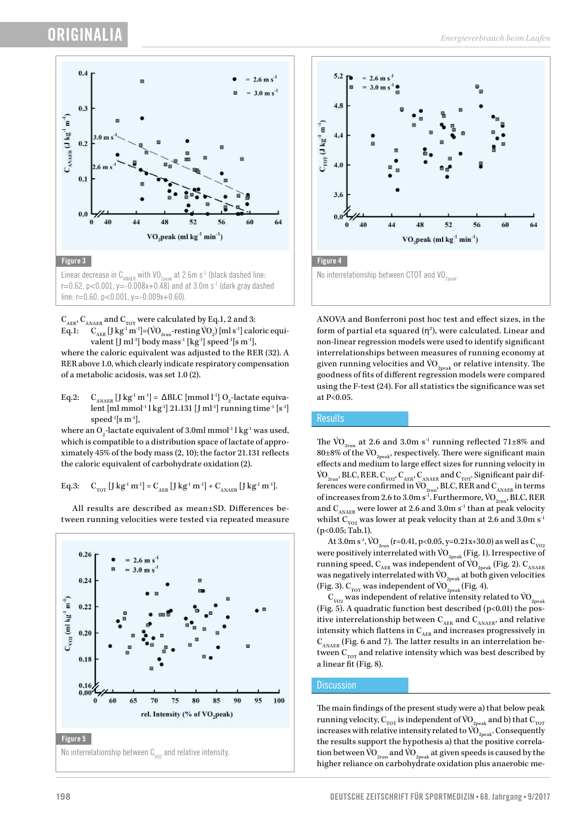## **ORIGINALI**



Linear decrease in C<sub>ANAER</sub> with VO<sub>2peak</sub> at 2.6m s<sup>-1</sup> (black dashed line:  $r=0.62$ , p<0.001, y=-0.008x+0.48) and at 3.0m s<sup>-1</sup> (dark gray dashed line:  $r=0.60$ ,  $p<0.001$ ,  $v=-0.009x+0.60$ ).

 $\mathbf{C}_\mathrm{AER}, \mathbf{C}_\mathrm{ANAER}$  and  $\mathbf{C}_\mathrm{TOT}$  were calculated by Eq.1, 2 and 3: Eq.1:  $\quad C_{_{\rm AER}} \,[\,] \, {\rm kg^1\,m^{\text{-}1}}]$ =(VO $_{_{\rm 2run}}$ -resting VO $_{\rm 2})\,[{\rm ml}\,{\rm s^{\text{-}1}}]$  caloric equivalent [J ml<sup>-1</sup>] body mass<sup>-1</sup> [kg<sup>-1</sup>] speed<sup>-1</sup>[s m<sup>-1</sup>],

where the caloric equivalent was adjusted to the RER (32). A RER above 1.0, which clearly indicate respiratory compensation of a metabolic acidosis, was set 1.0 (2).

Eq.2:  $C_{\text{ANAER}}$  [J kg<sup>-1</sup> m<sup>-1</sup>] =  $\Delta$ BLC [mmol 1<sup>-1</sup>] O<sub>2</sub>-lactate equivalent [ml mmol<sup>-1</sup> l kg<sup>-1</sup>] 21.131 [J ml<sup>-1</sup>] running time<sup>-1</sup> [s<sup>-1</sup>] speed $\mathrm{^{1}[s\ m^{1}]},$ 

where an  $O_2$ -lactate equivalent of 3.0ml mmol $\cdot$ l kg $\cdot$ l was used, which is compatible to a distribution space of lactate of approximately 45% of the body mass (2, 10); the factor 21.131 reflects the caloric equivalent of carbohydrate oxidation (2).

Eq.3:  $C_{TOT}$  [J kg<sup>-1</sup> m<sup>-1</sup>] =  $C_{AER}$  [J kg<sup>-1</sup> m<sup>-1</sup>] +  $C_{ANAER}$  [J kg<sup>-1</sup> m<sup>-1</sup>].

All results are described as mean±SD. Differences between running velocities were tested via repeated measure





ANOVA and Bonferroni post hoc test and effect sizes, in the form of partial eta squared  $(\eta^2)$ , were calculated. Linear and non-linear regression models were used to identify significant interrelationships between measures of running economy at given running velocities and  $\rm{VO}_{2n\text{peak}}$  or relative intensity. The goodness of fits of different regression models were compared using the F-test (24). For all statistics the significance was set at P<0.05.

## **Results**

The VO<sub>2run</sub> at 2.6 and 3.0m s<sup>-1</sup> running reflected 71 $\pm$ 8% and 80±8% of the  $\rm \mathrm{VO}_{2\text{peak}}$ , respectively. There were significant main effects and medium to large effect sizes for running velocity in  $\rm \dot{VO}_{2run}$ , BLC, RER,  $\rm C_{vo2}$ ,  $\rm C_{_{AER}}$ ,  $\rm C_{_{ANAER}}$  and  $\rm C_{_{TOT}}$ . Significant pair differences were confirmed in  $\overline{VO}_{2run}$ , BLC, RER and  $C_{ANAER}$  in terms of increases from 2.6 to 3.0m s $^{-1}$ . Furthermore, VO<sub>2run</sub>, BLC, RER and  $C_{ANAER}$  were lower at 2.6 and 3.0m s<sup>-1</sup> than at peak velocity whilst  $\text{C}_{\text{vo2}}$  was lower at peak velocity than at 2.6 and 3.0m s<sup>-1</sup> (p<0.05; Tab.1).

At 3.0m s<sup>-1</sup>, VO<sub>2run</sub> (r=0.41, p<0.05, y=0.21x+30.0) as well as C<sub>vo2</sub> were positively interrelated with  $\rm \ddot{VO}_{2peak}$  (Fig. 1). Irrespective of running speed,  $C_{AFR}$  was independent of VO<sub>2peak</sub> (Fig. 2).  $C_{ANAFR}$ was negatively interrelated with  $VO_{2neak}$  at both given velocities (Fig. 3).  $C_{TOT}$  was independent of  $VO_{2peak}^{\sim}$  (Fig. 4).

 $\emph{\emph{C}}_{\text{vo2}}$  was independent of relative intensity related to  $\emph{\emph{VO}}_{\text{2peak}}$ (Fig. 5). A quadratic function best described  $(p<0.01)$  the positive interrelationship between  $C_{AFR}$  and  $C_{ANAER}$ , and relative intensity which flattens in  $\mathbf{C}_\mathrm{AER}$  and increases progressively in  $C_{ANAFR}$  (Fig. 6 and 7). The latter results in an interrelation between  $C_{\text{tor}}$  and relative intensity which was best described by a linear fit (Fig. 8).

## **Discussion**

The main findings of the present study were a) that below peak running velocity,  $\mathbf{C}_{_{\rm TOT}}$  is independent of VO  $_{_{\rm 2peak}}$  and b) that  $\mathbf{C}_{_{\rm TOT}}$ increases with relative intensity related to  $\overline{\text{VO}}_{\text{2peak}}$ . Consequently the results support the hypothesis a) that the positive correlation between  $\rm \ddot{VO}_{2\text{run}}$  and  $\rm \ddot{VO}_{2\text{peak}}$  at given speeds is caused by the higher reliance on carbohydrate oxidation plus anaerobic me-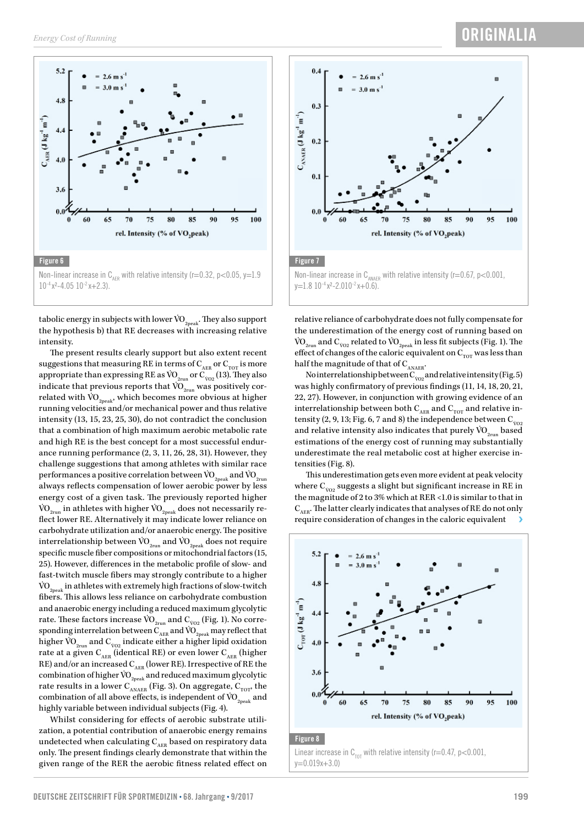

tabolic energy in subjects with lower  $\rm \ddot{VO}_{2peak}.$  They also support the hypothesis b) that RE decreases with increasing relative intensity.

The present results clearly support but also extent recent suggestions that measuring RE in terms of  $C_{AFR}$  or  $C_{TOT}$  is more appropriate than expressing RE as VO $_{\rm 2run}$  or  ${\rm C}_{\rm 002}$  (13). They also indicate that previous reports that  $\rm \ddot{VO}_{2710}$  was positively correlated with  $\rm{VO}_{2n\text{eak}}$ , which becomes more obvious at higher running velocities and/or mechanical power and thus relative intensity (13, 15, 23, 25, 30), do not contradict the conclusion that a combination of high maximum aerobic metabolic rate and high RE is the best concept for a most successful endurance running performance (2, 3, 11, 26, 28, 31). However, they challenge suggestions that among athletes with similar race performances a positive correlation between  $\rm{VO}_{2n+1}$  and  $\rm{VO}_{2n+1}$ always reflects compensation of lower aerobic power by less energy cost of a given task. The previously reported higher  $\rm \dot{VO}_{2\text{run}}$  in athletes with higher  $\rm \dot{VO}_{2\text{peak}}$  does not necessarily reflect lower RE. Alternatively it may indicate lower reliance on carbohydrate utilization and/or anaerobic energy. The positive interrelationship between  $\rm{VO}_{2\rm{run}}$  and  $\rm{VO}_{2\rm{neak}}$  does not require specific muscle fiber compositions or mitochondrial factors (15, 25). However, differences in the metabolic profile of slow- and fast-twitch muscle fibers may strongly contribute to a higher  $\rm{VO}_{\rm{2neak}}$  in athletes with extremely high fractions of slow-twitch fibers. This allows less reliance on carbohydrate combustion and anaerobic energy including a reduced maximum glycolytic rate. These factors increase  $\rm{\dot{VO}}_{2run}$  and  $\rm C_{\dot{VO}2}$  (Fig. 1). No corresponding interrelation between  $\overline{C_{\text{AER}}^{\text{un}}}$  and  $\overline{VO}_{\text{2peak}}$  may reflect that higher V˙O2run and CV˙O2 indicate either a higher lipid oxidation rate at a given  $C_{AFR}$  (identical RE) or even lower  $C_{AFR}$  (higher RE) and/or an increased  $C_{AFR}$  (lower RE). Irrespective of RE the combination of higher  $\rm{\dot{VO}}_{2\rm{peak}}$  and reduced maximum glycolytic rate results in a lower  $C_{ANAER}$  (Fig. 3). On aggregate,  $C_{TOT}$ , the combination of all above effects, is independent of  $\rm \ddot{VO}_{2peak}$  and highly variable between individual subjects (Fig. 4).

Whilst considering for effects of aerobic substrate utilization, a potential contribution of anaerobic energy remains undetected when calculating  $\mathbf{C}_\mathrm{AER}$  based on respiratory data only. The present findings clearly demonstrate that within the given range of the RER the aerobic fitness related effect on



relative reliance of carbohydrate does not fully compensate for the underestimation of the energy cost of running based on VO $_{\rm 2run}$  and C $_{\rm 002}$  related to VO $_{\rm 2peak}$  in less fit subjects (Fig. 1). The effect of changes of the caloric equivalent on  $C_{\text{TOT}}$  was less than half the magnitude of that of  $\text{C}_\text{\tiny{ANAER}}.$ 

No interrelationship between  $\text{C}_{\text{vo2}}$  and relative intensity (Fig. 5) was highly confirmatory of previous findings (11, 14, 18, 20, 21, 22, 27). However, in conjunction with growing evidence of an interrelationship between both  $C_{AER}$  and  $C_{TOT}$  and relative intensity (2, 9, 13; Fig. 6, 7 and 8) the independence between  $C_{\dot{v}_{02}}$ and relative intensity also indicates that purely  $\rm{VO}_{2rm}$  based estimations of the energy cost of running may substantially underestimate the real metabolic cost at higher exercise intensities (Fig. 8).

This underestimation gets even more evident at peak velocity where  $\emph{\emph{C}}_{\text{vo2}}$  suggests a slight but significant increase in RE in the magnitude of 2 to 3% which at RER <1.0 is similar to that in  $C_{AER}$ . The latter clearly indicates that analyses of RE do not only require consideration of changes in the caloric equivalent



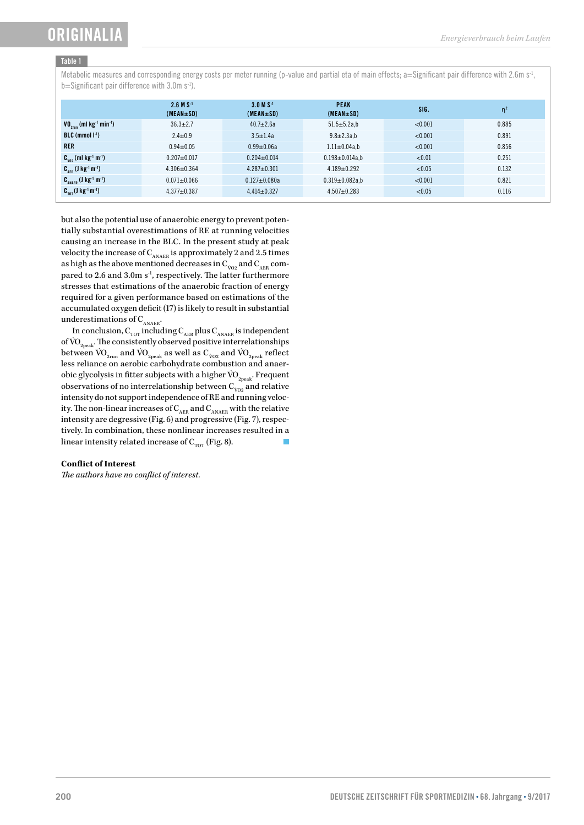## ORIGINALI

## Table 1

Metabolic measures and corresponding energy costs per meter running (p-value and partial eta of main effects; a=Significant pair difference with 2.6m s<sup>-1</sup>, b=Significant pair difference with 3.0m s<sup>-1</sup>).

|                                                          | $2.6 M S^{-1}$<br>$(MEAN \pm SD)$ | $3.0 M S^{-1}$<br>$(MEAN \pm SD)$ | <b>PEAK</b><br>$(MEAN \pm SD)$ | SIG.    | $\eta^2$ |
|----------------------------------------------------------|-----------------------------------|-----------------------------------|--------------------------------|---------|----------|
| $VO_{27}$ (ml kg <sup>-1</sup> min <sup>-1</sup> )       | $36.3 \pm 2.7$                    | $40.7 \pm 2.6a$                   | $51.5 \pm 5.2a,b$              | < 0.001 | 0.885    |
| $BLC$ (mmol $\vert \cdot \vert$ )                        | $2.4 \pm 0.9$                     | $3.5 \pm 1.4a$                    | $9.8 \pm 2.3a,b$               | < 0.001 | 0.891    |
| <b>RER</b>                                               | $0.94 \pm 0.05$                   | $0.99 + 0.06a$                    | $1.11 \pm 0.04$ a.b            | < 0.001 | 0.856    |
| $C_{\nu_{02}}$ (ml kg <sup>-1</sup> m <sup>-1</sup> )    | $0.207 + 0.017$                   | $0.204 \pm 0.014$                 | $0.198 \pm 0.014$ a,b          | < 0.01  | 0.251    |
| $C_{\text{app}}$ (J kg <sup>-1</sup> m <sup>-1</sup> )   | $4.306 \pm 0.364$                 | $4.287 \pm 0.301$                 | $4.189 + 0.292$                | < 0.05  | 0.132    |
| $C_{\text{ANAFR}}$ (J kg <sup>-1</sup> m <sup>-1</sup> ) | $0.071 + 0.066$                   | $0.127 \pm 0.080a$                | $0.319 \pm 0.082$ a,b          | < 0.001 | 0.821    |
| $C_{\text{tot}}(J \text{ kg}^{-1} \text{m}^{-1})$        | $4.377 \pm 0.387$                 | $4.414 \pm 0.327$                 | $4.507 + 0.283$                | < 0.05  | 0.116    |

but also the potential use of anaerobic energy to prevent potentially substantial overestimations of RE at running velocities causing an increase in the BLC. In the present study at peak velocity the increase of  $\mathbf{C}_\text{\tiny ANAER}$  is approximately 2 and 2.5 times as high as the above mentioned decreases in  $\emph{\emph{C}}_{\text{vo2}}$  and  $\emph{\emph{C}}_{\text{\emph{AER}}}$  compared to 2.6 and 3.0m s<sup>-1</sup>, respectively. The latter furthermore stresses that estimations of the anaerobic fraction of energy required for a given performance based on estimations of the accumulated oxygen deficit (17) is likely to result in substantial underestimations of  $\mathbf{C}_\text{\tiny ANAER}}$  .

In conclusion,  $\mathbf{C}_{_{\rm TOT}}$  including  $\mathbf{C}_{_{\rm AER}}$  plus  $\mathbf{C}_{_{\rm ANAER}}$  is independent of  $\rm{VO}_{2n\text{e}ak}$ . The consistently observed positive interrelationships between  $\rm{\dot{VO}}_{2_{\rm run}}$  and  $\rm{\dot{VO}}_{2_{\rm peak}}$  as well as  $\rm{C}_{\dot{VO}2}$  and  $\rm{\dot{VO}}_{2_{\rm peak}}$  reflect less reliance on aerobic carbohydrate combustion and anaerobic glycolysis in fitter subjects with a higher  $\rm \dot{VO}_{2peak}$ . Frequent observations of no interrelationship between  $\emph{\emph{C}}_{\text{vo2}}$  and relative intensity do not support independence of RE and running velocity. The non-linear increases of  $C_{\text{AER}}$  and  $C_{\text{ANAER}}$  with the relative intensity are degressive (Fig. 6) and progressive (Fig. 7), respectively. In combination, these nonlinear increases resulted in a linear intensity related increase of  $C_{\text{tot}}$  (Fig. 8).

## **Conflict of Interest**

*The authors have no conflict of interest.*